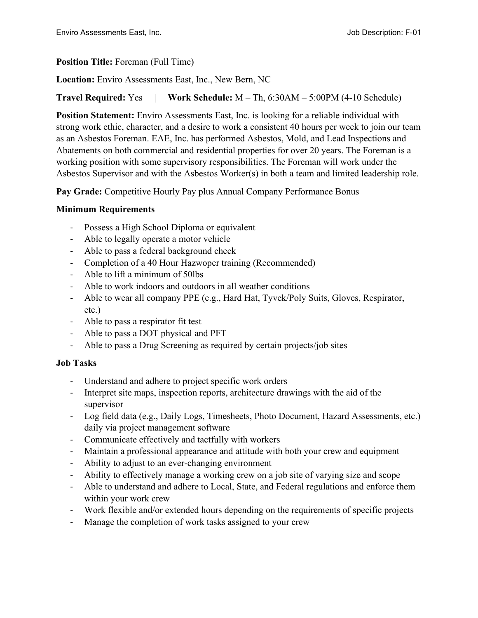#### **Position Title:** Foreman (Full Time)

**Location:** Enviro Assessments East, Inc., New Bern, NC

## **Travel Required:** Yes | **Work Schedule:** M – Th, 6:30AM – 5:00PM (4-10 Schedule)

**Position Statement:** Enviro Assessments East, Inc. is looking for a reliable individual with strong work ethic, character, and a desire to work a consistent 40 hours per week to join our team as an Asbestos Foreman. EAE, Inc. has performed Asbestos, Mold, and Lead Inspections and Abatements on both commercial and residential properties for over 20 years. The Foreman is a working position with some supervisory responsibilities. The Foreman will work under the Asbestos Supervisor and with the Asbestos Worker(s) in both a team and limited leadership role.

**Pay Grade:** Competitive Hourly Pay plus Annual Company Performance Bonus

## **Minimum Requirements**

- Possess a High School Diploma or equivalent
- Able to legally operate a motor vehicle
- Able to pass a federal background check
- Completion of a 40 Hour Hazwoper training (Recommended)
- Able to lift a minimum of 50lbs
- Able to work indoors and outdoors in all weather conditions
- Able to wear all company PPE (e.g., Hard Hat, Tyvek/Poly Suits, Gloves, Respirator, etc.)
- Able to pass a respirator fit test
- Able to pass a DOT physical and PFT
- Able to pass a Drug Screening as required by certain projects/job sites

## **Job Tasks**

- Understand and adhere to project specific work orders
- Interpret site maps, inspection reports, architecture drawings with the aid of the supervisor
- Log field data (e.g., Daily Logs, Timesheets, Photo Document, Hazard Assessments, etc.) daily via project management software
- Communicate effectively and tactfully with workers
- Maintain a professional appearance and attitude with both your crew and equipment
- Ability to adjust to an ever-changing environment
- Ability to effectively manage a working crew on a job site of varying size and scope
- Able to understand and adhere to Local, State, and Federal regulations and enforce them within your work crew
- Work flexible and/or extended hours depending on the requirements of specific projects
- Manage the completion of work tasks assigned to your crew